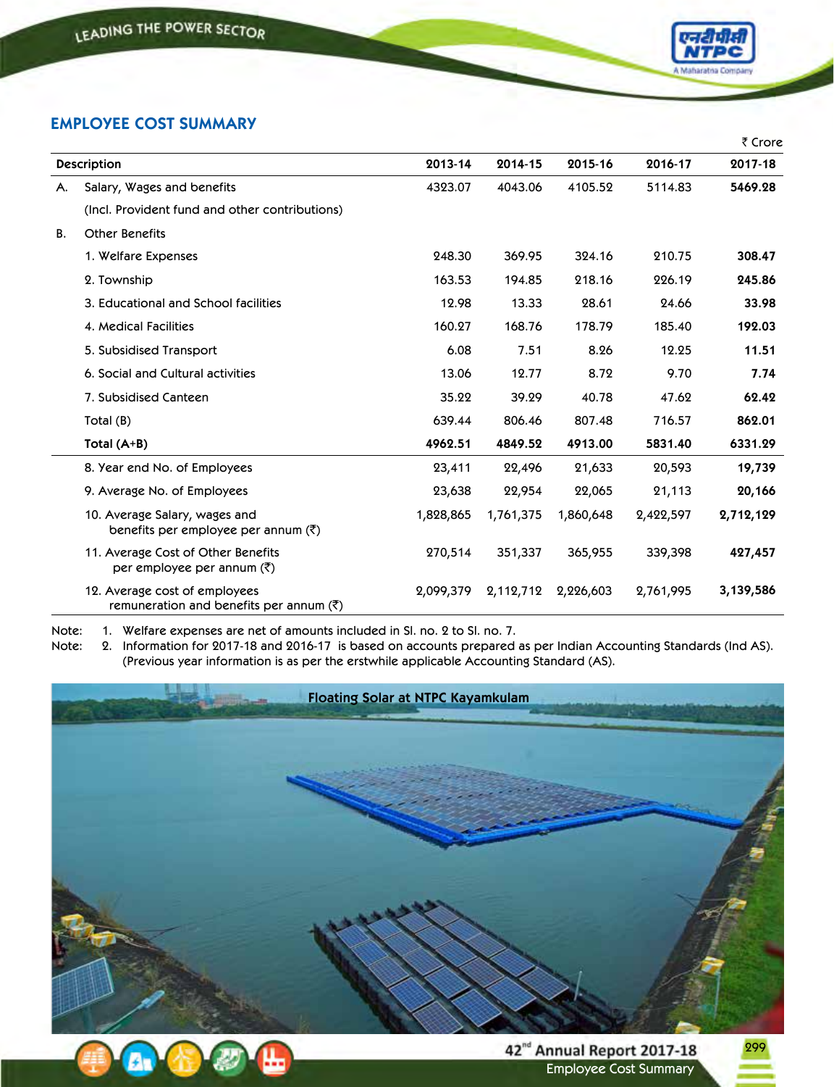

## **EMPLOYEE COST SUMMARY**

|                    |                                                                                    |           |           |           |           | ₹ Crore   |
|--------------------|------------------------------------------------------------------------------------|-----------|-----------|-----------|-----------|-----------|
| <b>Description</b> |                                                                                    | 2013-14   | 2014-15   | 2015-16   | 2016-17   | 2017-18   |
| Α.                 | Salary, Wages and benefits                                                         | 4323.07   | 4043.06   | 4105.52   | 5114.83   | 5469.28   |
|                    | (Incl. Provident fund and other contributions)                                     |           |           |           |           |           |
| <b>B.</b>          | <b>Other Benefits</b>                                                              |           |           |           |           |           |
|                    | 1. Welfare Expenses                                                                | 248.30    | 369.95    | 324.16    | 210.75    | 308.47    |
|                    | 2. Township                                                                        | 163.53    | 194.85    | 218.16    | 226.19    | 245.86    |
|                    | 3. Educational and School facilities                                               | 12.98     | 13.33     | 28.61     | 24.66     | 33.98     |
|                    | 4. Medical Facilities                                                              | 160.27    | 168.76    | 178.79    | 185.40    | 192.03    |
|                    | 5. Subsidised Transport                                                            | 6.08      | 7.51      | 8.26      | 12.25     | 11.51     |
|                    | 6. Social and Cultural activities                                                  | 13.06     | 12.77     | 8.72      | 9.70      | 7.74      |
|                    | 7. Subsidised Canteen                                                              | 35.22     | 39.29     | 40.78     | 47.62     | 62.42     |
|                    | Total (B)                                                                          | 639.44    | 806.46    | 807.48    | 716.57    | 862.01    |
|                    | Total $(A+B)$                                                                      | 4962.51   | 4849.52   | 4913.00   | 5831.40   | 6331.29   |
|                    | 8. Year end No. of Employees                                                       | 23,411    | 22,496    | 21,633    | 20,593    | 19,739    |
|                    | 9. Average No. of Employees                                                        | 23,638    | 22,954    | 22,065    | 21,113    | 20,166    |
|                    | 10. Average Salary, wages and<br>benefits per employee per annum $(\bar{\zeta})$   | 1,828,865 | 1,761,375 | 1,860,648 | 2,422,597 | 2,712,129 |
|                    | 11. Average Cost of Other Benefits<br>per employee per annum $(\bar{\zeta})$       | 270,514   | 351,337   | 365,955   | 339,398   | 427,457   |
|                    | 12. Average cost of employees<br>remuneration and benefits per annum ( $\bar{z}$ ) | 2,099,379 | 2,112,712 | 2,226,603 | 2,761,995 | 3,139,586 |

Note: 1. Welfare expenses are net of amounts included in Sl. no. 2 to Sl. no. 7.

Note: 2. Information for 2017-18 and 2016-17 is based on accounts prepared as per Indian Accounting Standards (Ind AS). (Previous year information is as per the erstwhile applicable Accounting Standard (AS).





299